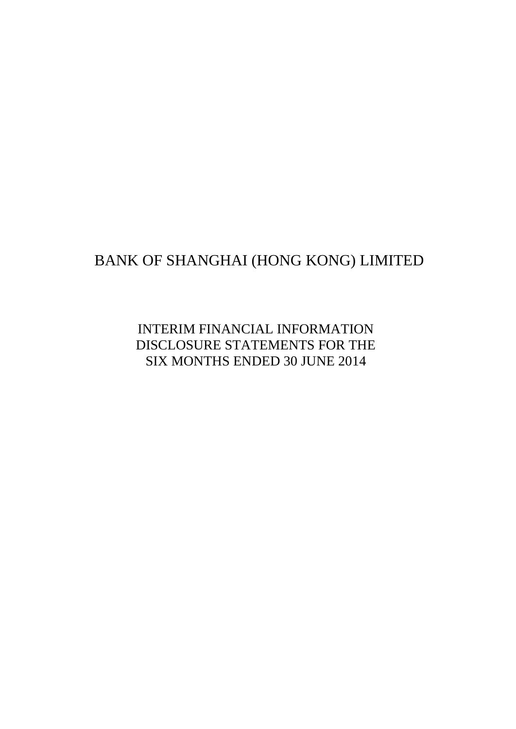# BANK OF SHANGHAI (HONG KONG) LIMITED

INTERIM FINANCIAL INFORMATION DISCLOSURE STATEMENTS FOR THE SIX MONTHS ENDED 30 JUNE 2014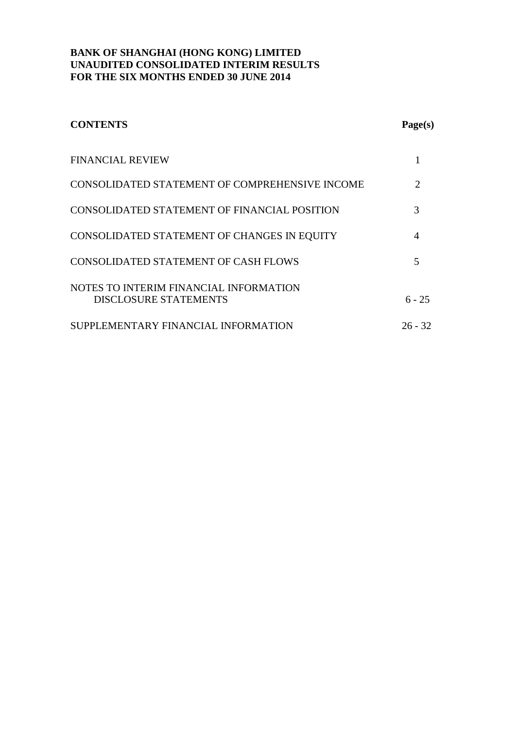| <b>CONTENTS</b>                                                        | Page(s)                     |
|------------------------------------------------------------------------|-----------------------------|
| <b>FINANCIAL REVIEW</b>                                                |                             |
| CONSOLIDATED STATEMENT OF COMPREHENSIVE INCOME                         | $\mathcal{D}_{\mathcal{L}}$ |
| CONSOLIDATED STATEMENT OF FINANCIAL POSITION                           | 3                           |
| CONSOLIDATED STATEMENT OF CHANGES IN EQUITY                            | 4                           |
| CONSOLIDATED STATEMENT OF CASH FLOWS                                   | 5                           |
| NOTES TO INTERIM FINANCIAL INFORMATION<br><b>DISCLOSURE STATEMENTS</b> | $6 - 25$                    |
| SUPPLEMENTARY FINANCIAL INFORMATION                                    | $26 - 32$                   |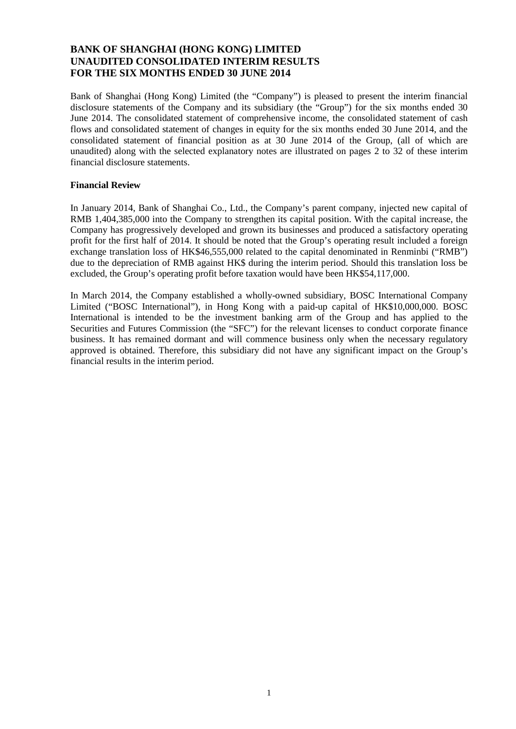Bank of Shanghai (Hong Kong) Limited (the "Company") is pleased to present the interim financial disclosure statements of the Company and its subsidiary (the "Group") for the six months ended 30 June 2014. The consolidated statement of comprehensive income, the consolidated statement of cash flows and consolidated statement of changes in equity for the six months ended 30 June 2014, and the consolidated statement of financial position as at 30 June 2014 of the Group, (all of which are unaudited) along with the selected explanatory notes are illustrated on pages 2 to 32 of these interim financial disclosure statements.

### **Financial Review**

In January 2014, Bank of Shanghai Co., Ltd., the Company's parent company, injected new capital of RMB 1,404,385,000 into the Company to strengthen its capital position. With the capital increase, the Company has progressively developed and grown its businesses and produced a satisfactory operating profit for the first half of 2014. It should be noted that the Group's operating result included a foreign exchange translation loss of HK\$46,555,000 related to the capital denominated in Renminbi ("RMB") due to the depreciation of RMB against HK\$ during the interim period. Should this translation loss be excluded, the Group's operating profit before taxation would have been HK\$54,117,000.

In March 2014, the Company established a wholly-owned subsidiary, BOSC International Company Limited ("BOSC International"), in Hong Kong with a paid-up capital of HK\$10,000,000. BOSC International is intended to be the investment banking arm of the Group and has applied to the Securities and Futures Commission (the "SFC") for the relevant licenses to conduct corporate finance business. It has remained dormant and will commence business only when the necessary regulatory approved is obtained. Therefore, this subsidiary did not have any significant impact on the Group's financial results in the interim period.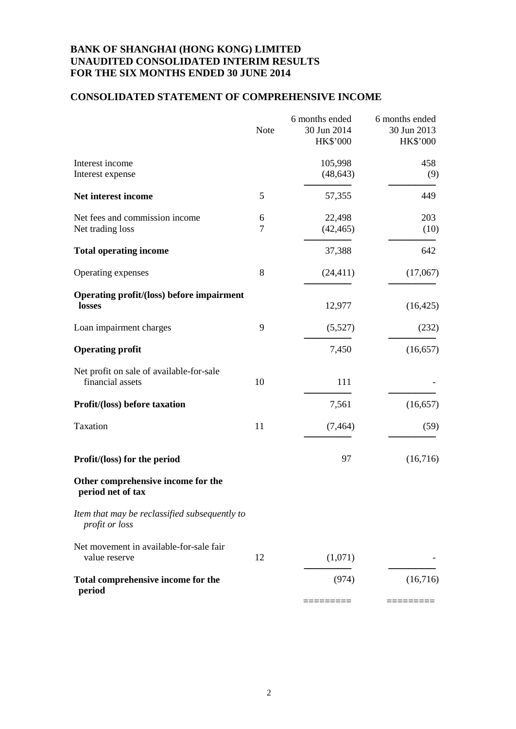# **CONSOLIDATED STATEMENT OF COMPREHENSIVE INCOME**

|                                                                 | Note   | 6 months ended<br>30 Jun 2014<br>HK\$'000 | 6 months ended<br>30 Jun 2013<br>HK\$'000 |
|-----------------------------------------------------------------|--------|-------------------------------------------|-------------------------------------------|
| Interest income<br>Interest expense                             |        | 105,998<br>(48, 643)                      | 458<br>(9)                                |
| Net interest income                                             | 5      | 57,355                                    | 449                                       |
| Net fees and commission income<br>Net trading loss              | 6<br>7 | 22,498<br>(42, 465)                       | 203<br>(10)                               |
| <b>Total operating income</b>                                   |        | 37,388                                    | 642                                       |
| Operating expenses                                              | 8      | (24, 411)                                 | (17,067)                                  |
| <b>Operating profit/(loss) before impairment</b><br>losses      |        | 12,977                                    | (16, 425)                                 |
| Loan impairment charges                                         | 9      | (5,527)                                   | (232)                                     |
| <b>Operating profit</b>                                         |        | 7,450                                     | (16, 657)                                 |
| Net profit on sale of available-for-sale<br>financial assets    | 10     | 111                                       |                                           |
| Profit/(loss) before taxation                                   |        | 7,561                                     | (16, 657)                                 |
| Taxation                                                        | 11     | (7, 464)                                  | (59)                                      |
| Profit/(loss) for the period                                    |        | 97                                        | (16,716)                                  |
| Other comprehensive income for the<br>period net of tax         |        |                                           |                                           |
| Item that may be reclassified subsequently to<br>profit or loss |        |                                           |                                           |
| Net movement in available-for-sale fair<br>value reserve        | 12     | (1,071)                                   |                                           |
| Total comprehensive income for the<br>period                    |        | (974)                                     | (16,716)                                  |
|                                                                 |        |                                           |                                           |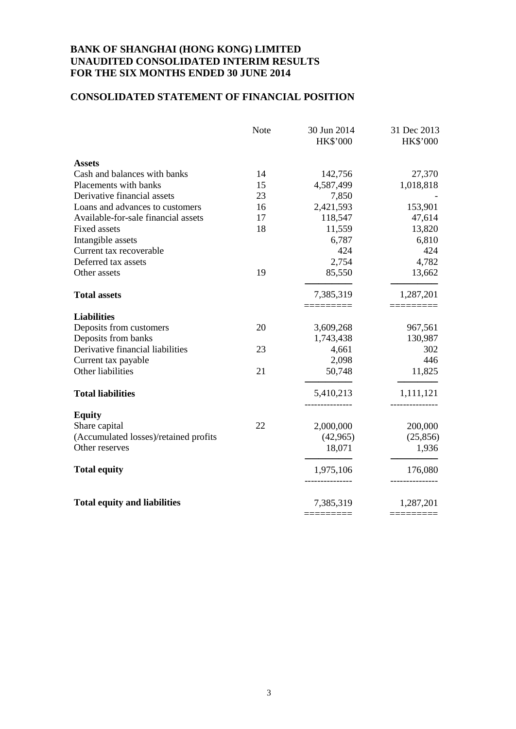# **CONSOLIDATED STATEMENT OF FINANCIAL POSITION**

|                                       | <b>Note</b> | 30 Jun 2014<br><b>HK\$'000</b> | 31 Dec 2013<br><b>HK\$'000</b> |
|---------------------------------------|-------------|--------------------------------|--------------------------------|
| <b>Assets</b>                         |             |                                |                                |
| Cash and balances with banks          | 14          | 142,756                        | 27,370                         |
| Placements with banks                 | 15          | 4,587,499                      | 1,018,818                      |
| Derivative financial assets           | 23          | 7,850                          |                                |
| Loans and advances to customers       | 16          | 2,421,593                      | 153,901                        |
| Available-for-sale financial assets   | 17          | 118,547                        | 47,614                         |
| Fixed assets                          | 18          | 11,559                         | 13,820                         |
| Intangible assets                     |             | 6,787                          | 6,810                          |
| Current tax recoverable               |             | 424                            | 424                            |
| Deferred tax assets                   |             | 2,754                          | 4,782                          |
| Other assets                          | 19          | 85,550                         | 13,662                         |
| <b>Total assets</b>                   |             | 7,385,319                      | 1,287,201                      |
|                                       |             |                                |                                |
| <b>Liabilities</b>                    |             |                                |                                |
| Deposits from customers               | 20          | 3,609,268                      | 967,561                        |
| Deposits from banks                   |             | 1,743,438                      | 130,987                        |
| Derivative financial liabilities      | 23          | 4,661                          | 302                            |
| Current tax payable                   |             | 2,098                          | 446                            |
| Other liabilities                     | 21          | 50,748                         | 11,825                         |
| <b>Total liabilities</b>              |             | 5,410,213                      | 1,111,121                      |
| <b>Equity</b>                         |             |                                |                                |
| Share capital                         | 22          | 2,000,000                      | 200,000                        |
| (Accumulated losses)/retained profits |             | (42,965)                       | (25, 856)                      |
| Other reserves                        |             | 18,071                         | 1,936                          |
| <b>Total equity</b>                   |             | 1,975,106                      | 176,080                        |
| <b>Total equity and liabilities</b>   |             | 7,385,319                      | 1,287,201                      |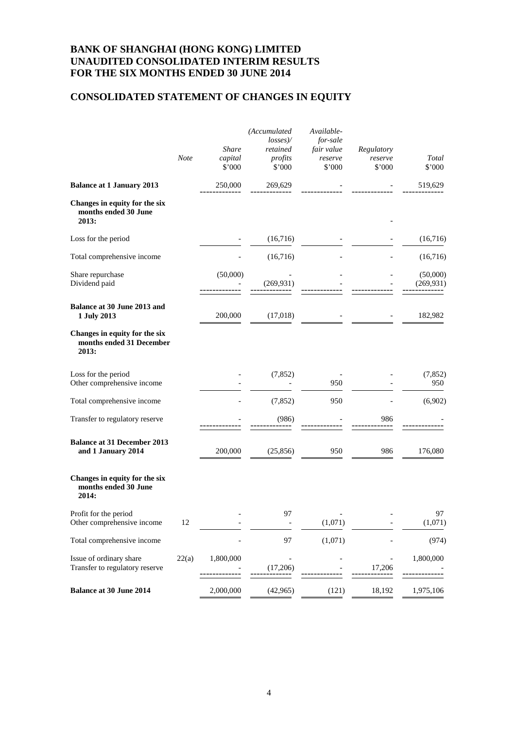# **CONSOLIDATED STATEMENT OF CHANGES IN EQUITY**

|                                                                    | <b>Note</b> | <b>Share</b><br>capital<br>\$'000 | (Accumulated<br>losses<br>retained<br>profits<br>\$'000 | Available-<br>for-sale<br>fair value<br>reserve<br>\$'000 | Regulatory<br>reserve<br>\$'000 | Total<br>\$'000        |
|--------------------------------------------------------------------|-------------|-----------------------------------|---------------------------------------------------------|-----------------------------------------------------------|---------------------------------|------------------------|
| <b>Balance at 1 January 2013</b>                                   |             | 250,000                           | 269,629                                                 |                                                           |                                 | 519,629                |
| Changes in equity for the six<br>months ended 30 June<br>2013:     |             |                                   |                                                         |                                                           |                                 |                        |
| Loss for the period                                                |             |                                   | (16,716)                                                |                                                           |                                 | (16,716)               |
| Total comprehensive income                                         |             |                                   | (16,716)                                                |                                                           |                                 | (16,716)               |
| Share repurchase<br>Dividend paid                                  |             | (50,000)                          | (269, 931)                                              |                                                           |                                 | (50,000)<br>(269, 931) |
| Balance at 30 June 2013 and<br>1 July 2013                         |             | 200,000                           | (17,018)                                                |                                                           |                                 | 182,982                |
| Changes in equity for the six<br>months ended 31 December<br>2013: |             |                                   |                                                         |                                                           |                                 |                        |
| Loss for the period<br>Other comprehensive income                  |             |                                   | (7, 852)                                                | 950                                                       |                                 | (7, 852)<br>950        |
| Total comprehensive income                                         |             |                                   | (7, 852)                                                | 950                                                       |                                 | (6,902)                |
| Transfer to regulatory reserve                                     |             |                                   | (986)                                                   |                                                           | 986                             |                        |
| <b>Balance at 31 December 2013</b><br>and 1 January 2014           |             | 200,000                           | (25, 856)                                               | 950                                                       | 986                             | 176,080                |
| Changes in equity for the six<br>months ended 30 June<br>2014:     |             |                                   |                                                         |                                                           |                                 |                        |
| Profit for the period<br>Other comprehensive income                | 12          |                                   | 97                                                      | (1,071)                                                   |                                 | 97<br>(1,071)          |
| Total comprehensive income                                         |             |                                   | 97                                                      | (1,071)                                                   |                                 | (974)                  |
| Issue of ordinary share<br>Transfer to regulatory reserve          | 22(a)       | 1,800,000                         | (17,206)                                                |                                                           | 17,206                          | 1,800,000              |
| <b>Balance at 30 June 2014</b>                                     |             | 2,000,000                         | (42, 965)                                               | (121)                                                     | 18,192                          | 1,975,106              |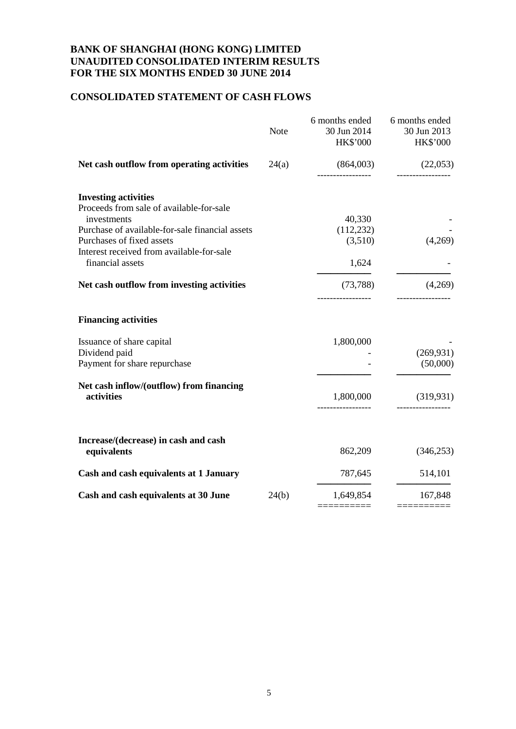# **CONSOLIDATED STATEMENT OF CASH FLOWS**

|                                                                                                                                                                                                                     | <b>Note</b> | 6 months ended<br>30 Jun 2014<br><b>HK\$'000</b> | 6 months ended<br>30 Jun 2013<br><b>HK\$'000</b> |
|---------------------------------------------------------------------------------------------------------------------------------------------------------------------------------------------------------------------|-------------|--------------------------------------------------|--------------------------------------------------|
| Net cash outflow from operating activities                                                                                                                                                                          | 24(a)       | (864,003)                                        | (22,053)<br>-----------------                    |
| <b>Investing activities</b><br>Proceeds from sale of available-for-sale<br>investments<br>Purchase of available-for-sale financial assets<br>Purchases of fixed assets<br>Interest received from available-for-sale |             | 40,330<br>(112, 232)<br>(3,510)                  | (4,269)                                          |
| financial assets                                                                                                                                                                                                    |             | 1,624                                            |                                                  |
| Net cash outflow from investing activities                                                                                                                                                                          |             | (73, 788)                                        | (4,269)                                          |
| <b>Financing activities</b>                                                                                                                                                                                         |             |                                                  |                                                  |
| Issuance of share capital<br>Dividend paid<br>Payment for share repurchase                                                                                                                                          |             | 1,800,000                                        | (269, 931)<br>(50,000)                           |
| Net cash inflow/(outflow) from financing<br>activities                                                                                                                                                              |             | 1,800,000                                        | (319, 931)                                       |
| Increase/(decrease) in cash and cash<br>equivalents                                                                                                                                                                 |             | 862,209                                          | (346, 253)                                       |
| Cash and cash equivalents at 1 January                                                                                                                                                                              |             | 787,645                                          | 514,101                                          |
| Cash and cash equivalents at 30 June                                                                                                                                                                                | 24(b)       | 1,649,854                                        | 167,848                                          |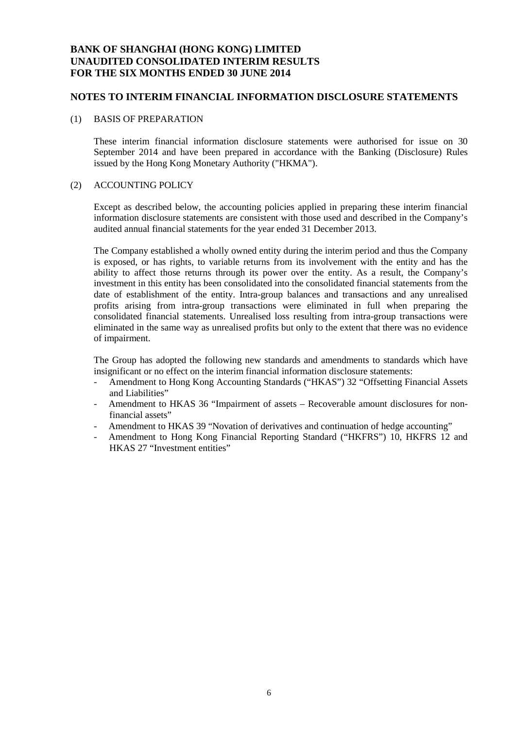### **NOTES TO INTERIM FINANCIAL INFORMATION DISCLOSURE STATEMENTS**

#### (1) BASIS OF PREPARATION

These interim financial information disclosure statements were authorised for issue on 30 September 2014 and have been prepared in accordance with the Banking (Disclosure) Rules issued by the Hong Kong Monetary Authority ("HKMA").

#### (2) ACCOUNTING POLICY

Except as described below, the accounting policies applied in preparing these interim financial information disclosure statements are consistent with those used and described in the Company's audited annual financial statements for the year ended 31 December 2013.

The Company established a wholly owned entity during the interim period and thus the Company is exposed, or has rights, to variable returns from its involvement with the entity and has the ability to affect those returns through its power over the entity. As a result, the Company's investment in this entity has been consolidated into the consolidated financial statements from the date of establishment of the entity. Intra-group balances and transactions and any unrealised profits arising from intra-group transactions were eliminated in full when preparing the consolidated financial statements. Unrealised loss resulting from intra-group transactions were eliminated in the same way as unrealised profits but only to the extent that there was no evidence of impairment.

The Group has adopted the following new standards and amendments to standards which have insignificant or no effect on the interim financial information disclosure statements:

- Amendment to Hong Kong Accounting Standards ("HKAS") 32 "Offsetting Financial Assets and Liabilities"
- Amendment to HKAS 36 "Impairment of assets Recoverable amount disclosures for nonfinancial assets"
- Amendment to HKAS 39 "Novation of derivatives and continuation of hedge accounting"
- Amendment to Hong Kong Financial Reporting Standard ("HKFRS") 10, HKFRS 12 and HKAS 27 "Investment entities"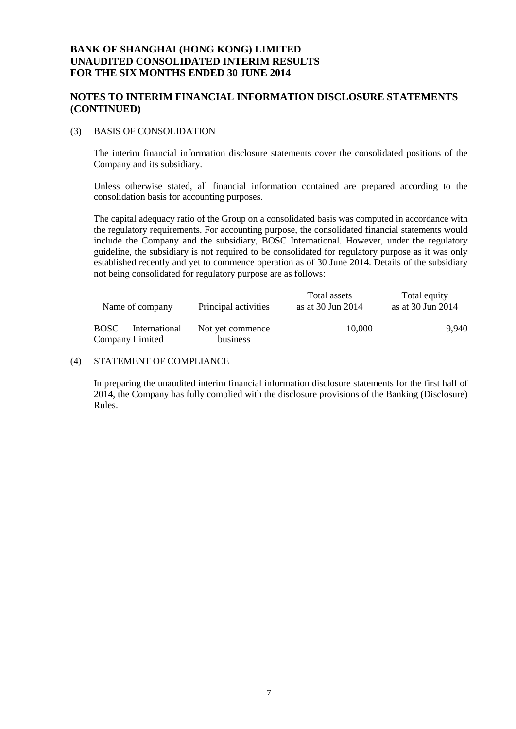### **NOTES TO INTERIM FINANCIAL INFORMATION DISCLOSURE STATEMENTS (CONTINUED)**

### (3) BASIS OF CONSOLIDATION

The interim financial information disclosure statements cover the consolidated positions of the Company and its subsidiary.

Unless otherwise stated, all financial information contained are prepared according to the consolidation basis for accounting purposes.

The capital adequacy ratio of the Group on a consolidated basis was computed in accordance with the regulatory requirements. For accounting purpose, the consolidated financial statements would include the Company and the subsidiary, BOSC International. However, under the regulatory guideline, the subsidiary is not required to be consolidated for regulatory purpose as it was only established recently and yet to commence operation as of 30 June 2014. Details of the subsidiary not being consolidated for regulatory purpose are as follows:

| Name of company                          | Principal activities         | Total assets<br>as at 30 Jun 2014 | Total equity<br>as at $30 \text{ Jun } 2014$ |
|------------------------------------------|------------------------------|-----------------------------------|----------------------------------------------|
| BOSC<br>International<br>Company Limited | Not yet commence<br>business | 10.000                            | 9.940                                        |

### (4) STATEMENT OF COMPLIANCE

In preparing the unaudited interim financial information disclosure statements for the first half of 2014, the Company has fully complied with the disclosure provisions of the Banking (Disclosure) Rules.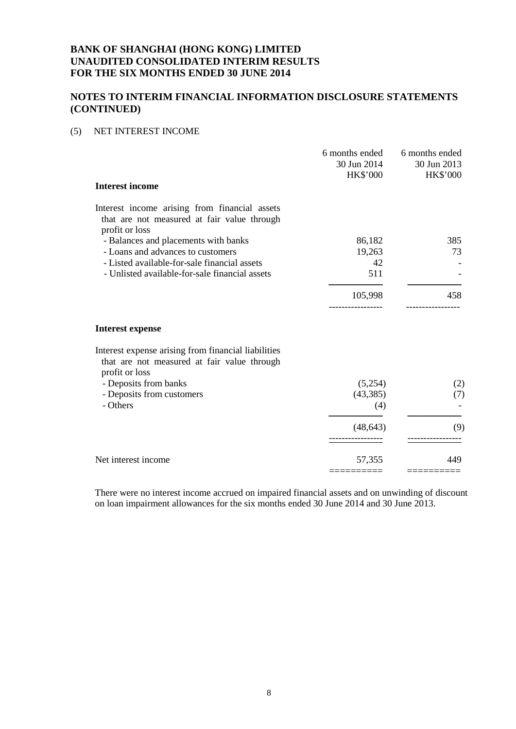### **NOTES TO INTERIM FINANCIAL INFORMATION DISCLOSURE STATEMENTS (CONTINUED)**

### (5) NET INTEREST INCOME

|                                                                                                                | 6 months ended<br>30 Jun 2014<br><b>HK\$'000</b> | 6 months ended<br>30 Jun 2013<br>HK\$'000 |
|----------------------------------------------------------------------------------------------------------------|--------------------------------------------------|-------------------------------------------|
| <b>Interest income</b>                                                                                         |                                                  |                                           |
| Interest income arising from financial assets<br>that are not measured at fair value through<br>profit or loss |                                                  |                                           |
| - Balances and placements with banks                                                                           | 86,182                                           | 385                                       |
| - Loans and advances to customers                                                                              | 19,263                                           | 73                                        |
| - Listed available-for-sale financial assets                                                                   | 42                                               |                                           |
| - Unlisted available-for-sale financial assets                                                                 | 511                                              |                                           |
|                                                                                                                | 105,998                                          | 458                                       |
| <b>Interest expense</b>                                                                                        |                                                  |                                           |
| Interest expense arising from financial liabilities<br>that are not measured at fair value through             |                                                  |                                           |
| profit or loss<br>- Deposits from banks                                                                        | (5,254)                                          | (2)                                       |
| - Deposits from customers                                                                                      | (43, 385)                                        | (7)                                       |
| - Others                                                                                                       | (4)                                              |                                           |
|                                                                                                                | (48, 643)                                        | (9)                                       |
| Net interest income                                                                                            | 57,355                                           | 449                                       |
|                                                                                                                |                                                  |                                           |

There were no interest income accrued on impaired financial assets and on unwinding of discount on loan impairment allowances for the six months ended 30 June 2014 and 30 June 2013.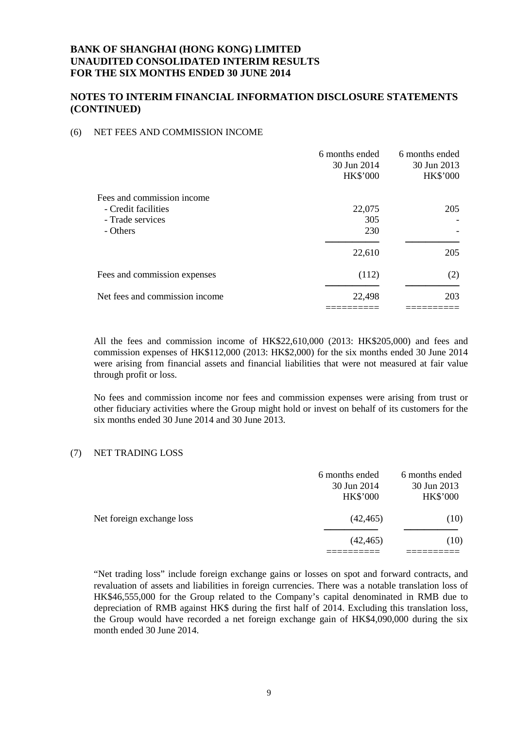### **NOTES TO INTERIM FINANCIAL INFORMATION DISCLOSURE STATEMENTS (CONTINUED)**

### (6) NET FEES AND COMMISSION INCOME

| 6 months ended<br>30 Jun 2014<br><b>HK\$'000</b> | 6 months ended<br>30 Jun 2013<br><b>HK\$'000</b> |
|--------------------------------------------------|--------------------------------------------------|
|                                                  |                                                  |
| 22,075                                           | 205                                              |
| 305                                              |                                                  |
| 230                                              |                                                  |
| 22,610                                           | 205                                              |
| (112)                                            | (2)                                              |
| 22,498                                           | 203                                              |
|                                                  |                                                  |

All the fees and commission income of HK\$22,610,000 (2013: HK\$205,000) and fees and commission expenses of HK\$112,000 (2013: HK\$2,000) for the six months ended 30 June 2014 were arising from financial assets and financial liabilities that were not measured at fair value through profit or loss.

No fees and commission income nor fees and commission expenses were arising from trust or other fiduciary activities where the Group might hold or invest on behalf of its customers for the six months ended 30 June 2014 and 30 June 2013.

### (7) NET TRADING LOSS

|                           | 6 months ended<br>30 Jun 2014<br><b>HK\$'000</b> | 6 months ended<br>30 Jun 2013<br><b>HK\$'000</b> |
|---------------------------|--------------------------------------------------|--------------------------------------------------|
| Net foreign exchange loss | (42, 465)                                        | (10)                                             |
|                           | (42, 465)                                        | (10)                                             |
|                           |                                                  |                                                  |

"Net trading loss" include foreign exchange gains or losses on spot and forward contracts, and revaluation of assets and liabilities in foreign currencies. There was a notable translation loss of HK\$46,555,000 for the Group related to the Company's capital denominated in RMB due to depreciation of RMB against HK\$ during the first half of 2014. Excluding this translation loss, the Group would have recorded a net foreign exchange gain of HK\$4,090,000 during the six month ended 30 June 2014.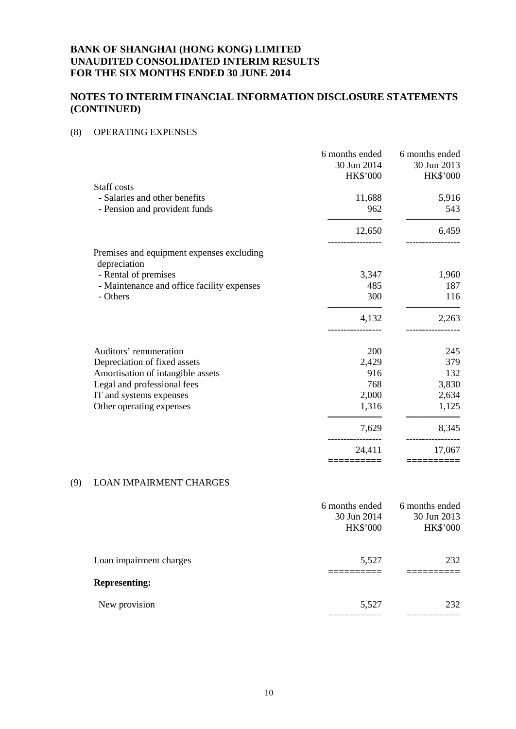# **NOTES TO INTERIM FINANCIAL INFORMATION DISCLOSURE STATEMENTS (CONTINUED)**

### (8) OPERATING EXPENSES

|                                                           | 6 months ended<br>30 Jun 2014<br><b>HK\$'000</b> | 6 months ended<br>30 Jun 2013<br><b>HK\$'000</b> |
|-----------------------------------------------------------|--------------------------------------------------|--------------------------------------------------|
| Staff costs                                               |                                                  |                                                  |
| - Salaries and other benefits                             | 11,688                                           | 5,916                                            |
| - Pension and provident funds                             | 962                                              | 543                                              |
|                                                           | 12,650                                           | 6,459                                            |
| Premises and equipment expenses excluding<br>depreciation |                                                  |                                                  |
| - Rental of premises                                      | 3,347                                            | 1,960                                            |
| - Maintenance and office facility expenses                | 485                                              | 187                                              |
| - Others                                                  | 300                                              | 116                                              |
|                                                           | 4,132                                            | 2,263                                            |
| Auditors' remuneration                                    | 200                                              | 245                                              |
| Depreciation of fixed assets                              | 2,429                                            | 379                                              |
| Amortisation of intangible assets                         | 916                                              | 132                                              |
| Legal and professional fees                               | 768                                              | 3,830                                            |
| IT and systems expenses                                   | 2,000                                            | 2,634                                            |
| Other operating expenses                                  | 1,316                                            | 1,125                                            |
|                                                           | 7,629                                            | 8,345                                            |
|                                                           | 24,411                                           | 17,067                                           |
|                                                           |                                                  |                                                  |

### (9) LOAN IMPAIRMENT CHARGES

|                         | 6 months ended<br>30 Jun 2014<br><b>HK\$'000</b> | 6 months ended<br>30 Jun 2013<br><b>HK\$'000</b> |
|-------------------------|--------------------------------------------------|--------------------------------------------------|
| Loan impairment charges | 5,527                                            | 232                                              |
| <b>Representing:</b>    |                                                  |                                                  |
| New provision           | 5,527                                            | 232                                              |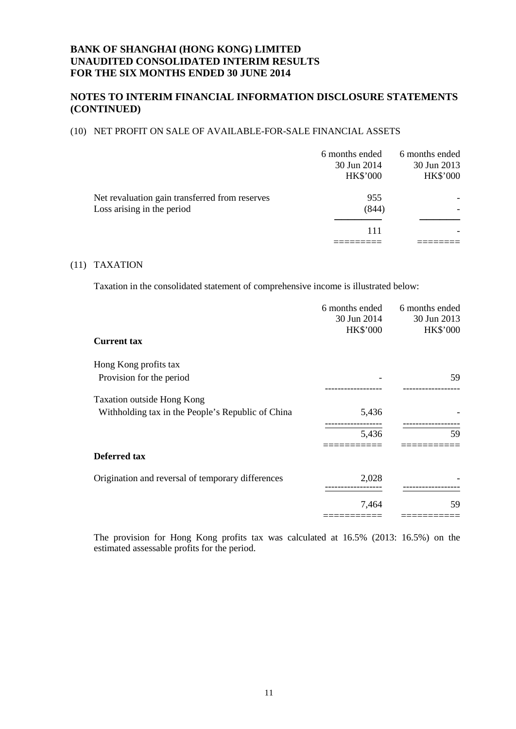### **NOTES TO INTERIM FINANCIAL INFORMATION DISCLOSURE STATEMENTS (CONTINUED)**

#### (10) NET PROFIT ON SALE OF AVAILABLE-FOR-SALE FINANCIAL ASSETS

|                                                                              | 6 months ended<br>30 Jun 2014<br><b>HK\$'000</b> | 6 months ended<br>30 Jun 2013<br><b>HK\$'000</b> |
|------------------------------------------------------------------------------|--------------------------------------------------|--------------------------------------------------|
| Net revaluation gain transferred from reserves<br>Loss arising in the period | 955<br>(844)                                     |                                                  |
|                                                                              | 111                                              |                                                  |

#### (11) TAXATION

Taxation in the consolidated statement of comprehensive income is illustrated below:

|                                                   | 6 months ended  | 6 months ended  |
|---------------------------------------------------|-----------------|-----------------|
|                                                   | 30 Jun 2014     | 30 Jun 2013     |
|                                                   | <b>HK\$'000</b> | <b>HK\$'000</b> |
| <b>Current tax</b>                                |                 |                 |
| Hong Kong profits tax                             |                 |                 |
| Provision for the period                          |                 | 59              |
| Taxation outside Hong Kong                        |                 |                 |
| Withholding tax in the People's Republic of China | 5,436           |                 |
|                                                   | 5,436           | 59              |
| Deferred tax                                      |                 |                 |
|                                                   |                 |                 |
| Origination and reversal of temporary differences | 2,028           |                 |
|                                                   | 7,464           | 59              |
|                                                   |                 |                 |

The provision for Hong Kong profits tax was calculated at 16.5% (2013: 16.5%) on the estimated assessable profits for the period.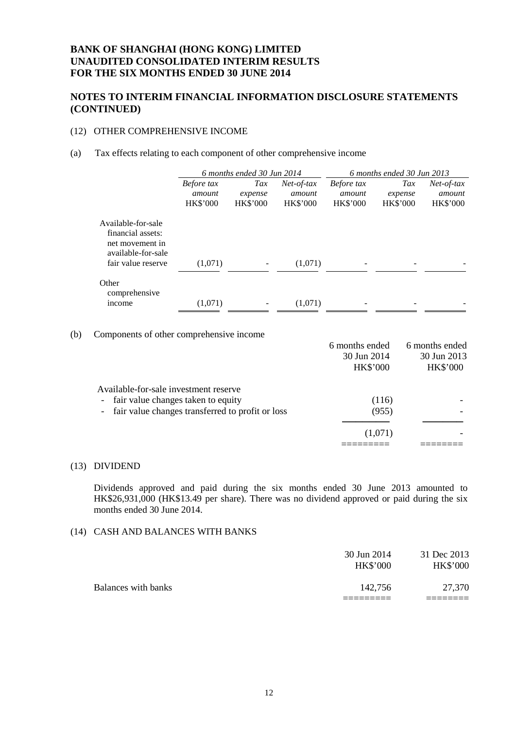### **NOTES TO INTERIM FINANCIAL INFORMATION DISCLOSURE STATEMENTS (CONTINUED)**

### (12) OTHER COMPREHENSIVE INCOME

#### (a) Tax effects relating to each component of other comprehensive income

|                                                                                                        | 6 months ended 30 Jun 2014              |                                   | 6 months ended 30 Jun 2013                |                                         |                                   |                                           |
|--------------------------------------------------------------------------------------------------------|-----------------------------------------|-----------------------------------|-------------------------------------------|-----------------------------------------|-----------------------------------|-------------------------------------------|
|                                                                                                        | Before tax<br>amount<br><b>HK\$'000</b> | Tax<br>expense<br><b>HK\$'000</b> | $Net-of-tax$<br>amount<br><b>HK\$'000</b> | Before tax<br>amount<br><b>HK\$'000</b> | Tax<br>expense<br><b>HK\$'000</b> | $Net-of-tax$<br>amount<br><b>HK\$'000</b> |
| Available-for-sale<br>financial assets:<br>net movement in<br>available-for-sale<br>fair value reserve | (1,071)                                 |                                   | (1,071)                                   |                                         |                                   |                                           |
| Other<br>comprehensive<br>income                                                                       | (1,071)                                 |                                   | (1,071)                                   |                                         |                                   |                                           |

(b) Components of other comprehensive income

|                                                    | 6 months ended<br>30 Jun 2014 | 6 months ended<br>30 Jun 2013 |
|----------------------------------------------------|-------------------------------|-------------------------------|
|                                                    | <b>HK\$'000</b>               | <b>HK\$'000</b>               |
| Available-for-sale investment reserve              |                               |                               |
| - fair value changes taken to equity               | (116)                         |                               |
| - fair value changes transferred to profit or loss | (955)                         |                               |
|                                                    |                               |                               |
|                                                    | (1,071)                       |                               |
|                                                    |                               |                               |
|                                                    |                               |                               |

#### (13) DIVIDEND

Dividends approved and paid during the six months ended 30 June 2013 amounted to HK\$26,931,000 (HK\$13.49 per share). There was no dividend approved or paid during the six months ended 30 June 2014.

#### (14) CASH AND BALANCES WITH BANKS

|                     | 30 Jun 2014<br><b>HK\$'000</b> | 31 Dec 2013<br><b>HK\$'000</b> |
|---------------------|--------------------------------|--------------------------------|
| Balances with banks | 142,756                        | 27,370                         |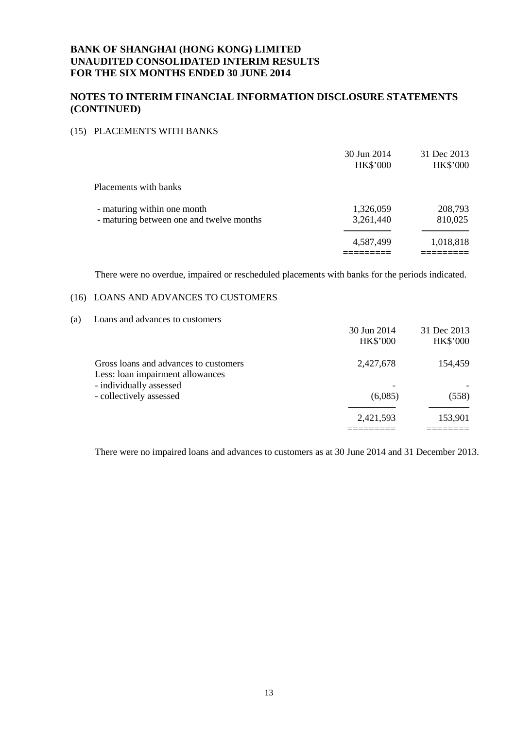### **NOTES TO INTERIM FINANCIAL INFORMATION DISCLOSURE STATEMENTS (CONTINUED)**

#### (15) PLACEMENTS WITH BANKS

|                                          | 30 Jun 2014<br><b>HK\$'000</b> | 31 Dec 2013<br>HK\$'000 |
|------------------------------------------|--------------------------------|-------------------------|
| Placements with banks                    |                                |                         |
| - maturing within one month              | 1,326,059                      | 208,793                 |
| - maturing between one and twelve months | 3,261,440                      | 810,025                 |
|                                          | 4,587,499                      | 1,018,818               |
|                                          |                                |                         |

There were no overdue, impaired or rescheduled placements with banks for the periods indicated.

#### (16) LOANS AND ADVANCES TO CUSTOMERS

### (a) Loans and advances to customers

|                                                                           | 30 Jun 2014<br><b>HK\$'000</b> | 31 Dec 2013<br><b>HK\$'000</b> |
|---------------------------------------------------------------------------|--------------------------------|--------------------------------|
|                                                                           |                                |                                |
| Gross loans and advances to customers<br>Less: loan impairment allowances | 2,427,678                      | 154,459                        |
| - individually assessed                                                   |                                |                                |
| - collectively assessed                                                   | (6,085)                        | (558)                          |
|                                                                           | 2,421,593                      | 153,901                        |
|                                                                           |                                |                                |

There were no impaired loans and advances to customers as at 30 June 2014 and 31 December 2013.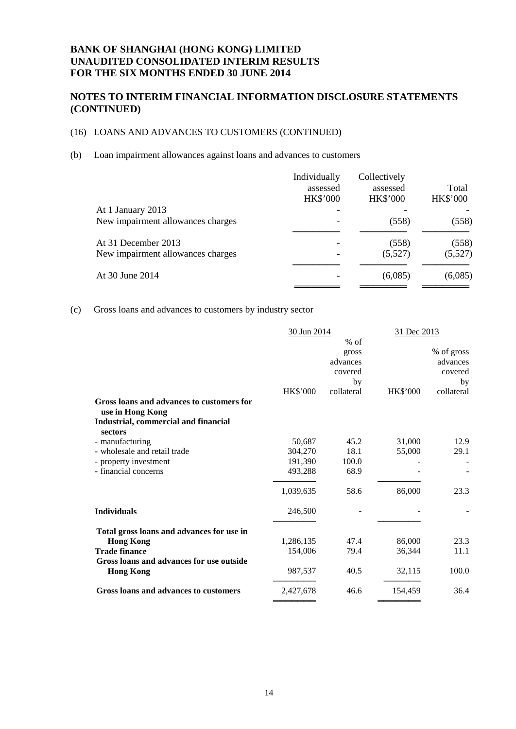# **NOTES TO INTERIM FINANCIAL INFORMATION DISCLOSURE STATEMENTS (CONTINUED)**

### (16) LOANS AND ADVANCES TO CUSTOMERS (CONTINUED)

(b) Loan impairment allowances against loans and advances to customers

|                                   | Individually<br>assessed | Collectively<br>assessed | Total           |
|-----------------------------------|--------------------------|--------------------------|-----------------|
|                                   | <b>HK\$'000</b>          | <b>HK\$'000</b>          | <b>HK\$'000</b> |
| At 1 January 2013                 |                          |                          |                 |
| New impairment allowances charges |                          | (558)                    | (558)           |
| At 31 December 2013               |                          | (558)                    | (558)           |
| New impairment allowances charges |                          | (5,527)                  | (5,527)         |
| At 30 June 2014                   |                          | (6,085)                  | (6,085)         |
|                                   |                          |                          |                 |

(c) Gross loans and advances to customers by industry sector

|                                                               | 30 Jun 2014     |            | 31 Dec 2013     |            |
|---------------------------------------------------------------|-----------------|------------|-----------------|------------|
|                                                               |                 | $%$ of     |                 |            |
|                                                               |                 | gross      |                 | % of gross |
|                                                               |                 | advances   |                 | advances   |
|                                                               |                 | covered    |                 | covered    |
|                                                               |                 | by         |                 | by         |
|                                                               | <b>HK\$'000</b> | collateral | <b>HK\$'000</b> | collateral |
| Gross loans and advances to customers for<br>use in Hong Kong |                 |            |                 |            |
| Industrial, commercial and financial<br>sectors               |                 |            |                 |            |
| - manufacturing                                               | 50,687          | 45.2       | 31,000          | 12.9       |
| - wholesale and retail trade                                  | 304,270         | 18.1       | 55,000          | 29.1       |
| - property investment                                         | 191.390         | 100.0      |                 |            |
| - financial concerns                                          | 493,288         | 68.9       |                 |            |
|                                                               | 1,039,635       | 58.6       | 86,000          | 23.3       |
| <b>Individuals</b>                                            | 246,500         |            |                 |            |
| Total gross loans and advances for use in                     |                 |            |                 |            |
| <b>Hong Kong</b>                                              | 1,286,135       | 47.4       | 86,000          | 23.3       |
| <b>Trade finance</b>                                          | 154,006         | 79.4       | 36,344          | 11.1       |
| Gross loans and advances for use outside                      |                 |            |                 |            |
| <b>Hong Kong</b>                                              | 987,537         | 40.5       | 32,115          | 100.0      |
| Gross loans and advances to customers                         | 2,427,678       | 46.6       | 154,459         | 36.4       |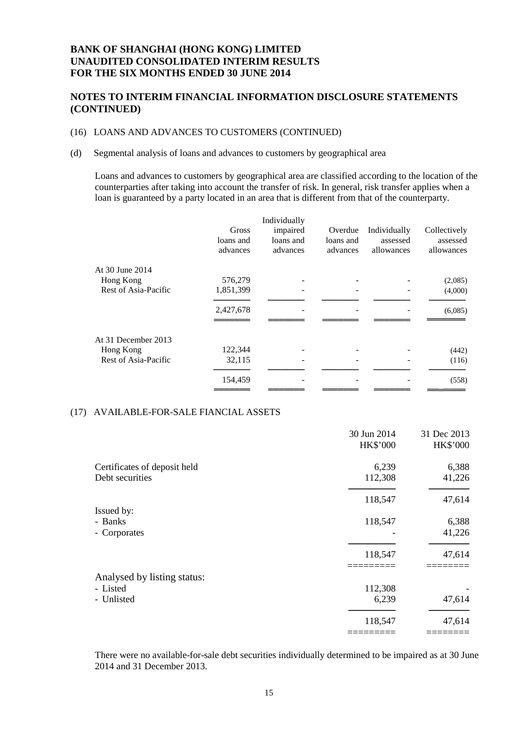# **NOTES TO INTERIM FINANCIAL INFORMATION DISCLOSURE STATEMENTS (CONTINUED)**

### (16) LOANS AND ADVANCES TO CUSTOMERS (CONTINUED)

#### (d) Segmental analysis of loans and advances to customers by geographical area

Loans and advances to customers by geographical area are classified according to the location of the counterparties after taking into account the transfer of risk. In general, risk transfer applies when a loan is guaranteed by a party located in an area that is different from that of the counterparty.

|                      | Gross<br>loans and<br>advances | Individually<br>impaired<br>loans and<br>advances | Overdue<br>loans and<br>advances | Individually<br>assessed<br>allowances | Collectively<br>assessed<br>allowances |
|----------------------|--------------------------------|---------------------------------------------------|----------------------------------|----------------------------------------|----------------------------------------|
| At 30 June 2014      |                                |                                                   |                                  |                                        |                                        |
| Hong Kong            | 576,279                        |                                                   |                                  |                                        | (2,085)                                |
| Rest of Asia-Pacific | 1,851,399                      |                                                   |                                  |                                        | (4,000)                                |
|                      | 2,427,678                      |                                                   |                                  |                                        | (6,085)                                |
|                      |                                |                                                   |                                  |                                        |                                        |
| At 31 December 2013  |                                |                                                   |                                  |                                        |                                        |
| Hong Kong            | 122,344                        |                                                   |                                  |                                        | (442)                                  |
| Rest of Asia-Pacific | 32,115                         |                                                   |                                  |                                        | (116)                                  |
|                      | 154,459                        |                                                   |                                  |                                        | (558)                                  |
|                      |                                |                                                   |                                  |                                        |                                        |

### (17) AVAILABLE-FOR-SALE FIANCIAL ASSETS

|                              | 30 Jun 2014<br>HK\$'000 | 31 Dec 2013<br>HK\$'000 |
|------------------------------|-------------------------|-------------------------|
| Certificates of deposit held | 6,239                   | 6,388                   |
| Debt securities              | 112,308                 | 41,226                  |
|                              | 118,547                 | 47,614                  |
| Issued by:                   |                         |                         |
| - Banks                      | 118,547                 | 6,388                   |
| - Corporates                 |                         | 41,226                  |
|                              | 118,547                 | 47,614                  |
| Analysed by listing status:  |                         |                         |
| - Listed                     | 112,308                 |                         |
| - Unlisted                   | 6,239                   | 47,614                  |
|                              | 118,547                 | 47,614                  |
|                              |                         |                         |

There were no available-for-sale debt securities individually determined to be impaired as at 30 June 2014 and 31 December 2013.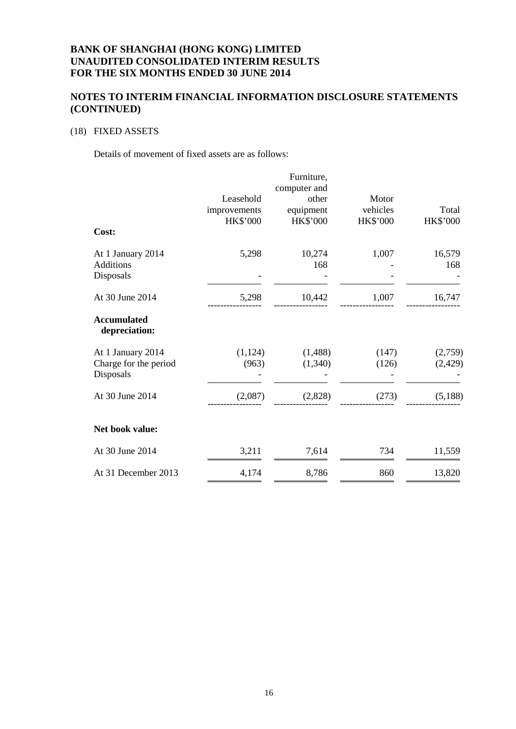### **NOTES TO INTERIM FINANCIAL INFORMATION DISCLOSURE STATEMENTS (CONTINUED)**

### (18) FIXED ASSETS

Details of movement of fixed assets are as follows:

|                                                         |                                              | Furniture,                                            |                                      |                          |
|---------------------------------------------------------|----------------------------------------------|-------------------------------------------------------|--------------------------------------|--------------------------|
|                                                         | Leasehold<br>improvements<br><b>HK\$'000</b> | computer and<br>other<br>equipment<br><b>HK\$'000</b> | Motor<br>vehicles<br><b>HK\$'000</b> | Total<br><b>HK\$'000</b> |
| Cost:                                                   |                                              |                                                       |                                      |                          |
| At 1 January 2014<br><b>Additions</b><br>Disposals      | 5,298                                        | 10,274<br>168                                         | 1,007                                | 16,579<br>168            |
| At 30 June 2014                                         | 5,298                                        | 10,442                                                | 1,007                                | 16,747                   |
| <b>Accumulated</b><br>depreciation:                     |                                              |                                                       |                                      |                          |
| At 1 January 2014<br>Charge for the period<br>Disposals | (1, 124)<br>(963)                            | (1,488)<br>(1,340)                                    | (147)<br>(126)                       | (2,759)<br>(2,429)       |
| At 30 June 2014                                         | (2,087)                                      | (2,828)                                               | (273)                                | (5,188)                  |
| Net book value:                                         |                                              |                                                       |                                      |                          |
| At 30 June 2014                                         | 3,211                                        | 7,614                                                 | 734                                  | 11,559                   |
| At 31 December 2013                                     | 4,174                                        | 8,786                                                 | 860                                  | 13,820                   |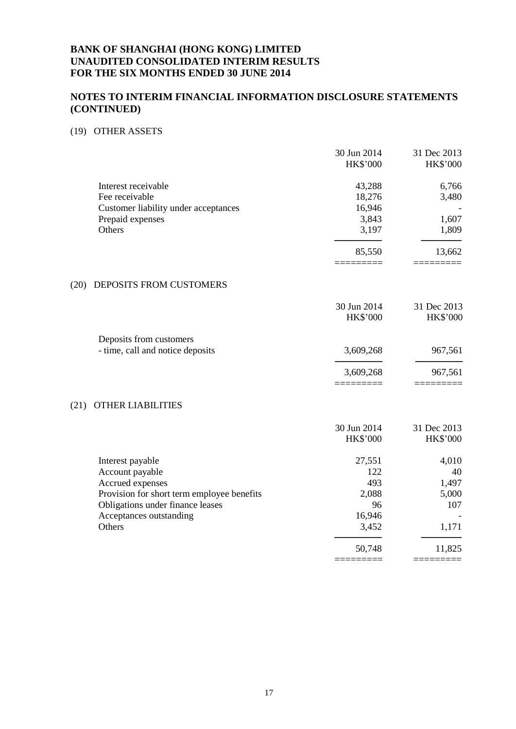### **NOTES TO INTERIM FINANCIAL INFORMATION DISCLOSURE STATEMENTS (CONTINUED)**

### (19) OTHER ASSETS

|                                            | 30 Jun 2014<br><b>HK\$'000</b> | 31 Dec 2013<br>HK\$'000 |
|--------------------------------------------|--------------------------------|-------------------------|
| Interest receivable                        | 43,288                         | 6,766                   |
| Fee receivable                             | 18,276                         | 3,480                   |
| Customer liability under acceptances       | 16,946                         |                         |
| Prepaid expenses                           | 3,843                          | 1,607                   |
| Others                                     | 3,197                          | 1,809                   |
|                                            | 85,550                         | 13,662                  |
| DEPOSITS FROM CUSTOMERS<br>(20)            |                                |                         |
|                                            | 30 Jun 2014                    | 31 Dec 2013             |
|                                            | HK\$'000                       | HK\$'000                |
| Deposits from customers                    |                                |                         |
| - time, call and notice deposits           | 3,609,268                      | 967,561                 |
|                                            | 3,609,268                      | 967,561                 |
|                                            |                                |                         |
| OTHER LIABILITIES<br>(21)                  |                                |                         |
|                                            | 30 Jun 2014                    | 31 Dec 2013             |
|                                            | HK\$'000                       | HK\$'000                |
| Interest payable                           | 27,551                         | 4,010                   |
| Account payable                            | 122                            | 40                      |
| Accrued expenses                           | 493                            | 1,497                   |
| Provision for short term employee benefits | 2,088                          | 5,000                   |
| Obligations under finance leases           | 96                             | 107                     |
| Acceptances outstanding                    | 16,946                         |                         |
| Others                                     | 3,452                          | 1,171                   |
|                                            | 50,748                         | 11,825                  |

========= =========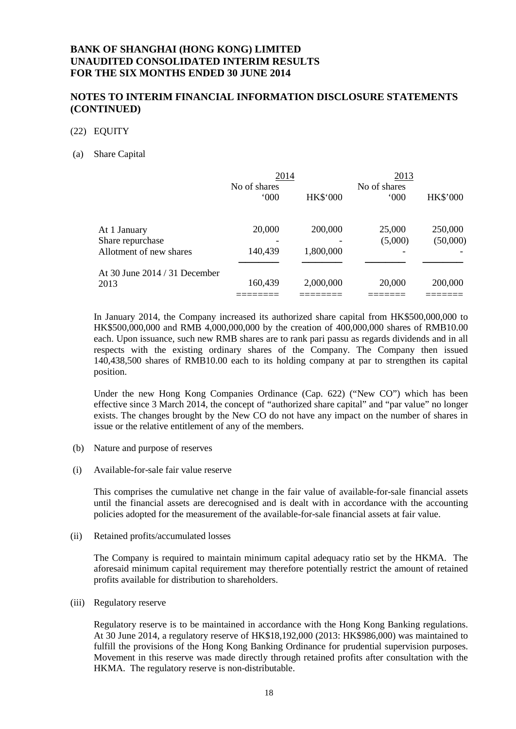### **NOTES TO INTERIM FINANCIAL INFORMATION DISCLOSURE STATEMENTS (CONTINUED)**

#### (22) EQUITY

#### (a) Share Capital

|                               | 2014                          |                 | 2013                          |                 |
|-------------------------------|-------------------------------|-----------------|-------------------------------|-----------------|
|                               | No of shares<br>$000^{\circ}$ | <b>HK\$'000</b> | No of shares<br>$000^{\circ}$ | <b>HK\$'000</b> |
| At 1 January                  | 20,000                        | 200,000         | 25,000                        | 250,000         |
| Share repurchase              |                               |                 | (5,000)                       | (50,000)        |
| Allotment of new shares       | 140,439                       | 1,800,000       |                               |                 |
| At 30 June 2014 / 31 December |                               |                 |                               |                 |
| 2013                          | 160,439                       | 2,000,000       | 20,000                        | 200,000         |
|                               |                               |                 |                               |                 |

In January 2014, the Company increased its authorized share capital from HK\$500,000,000 to HK\$500,000,000 and RMB 4,000,000,000 by the creation of 400,000,000 shares of RMB10.00 each. Upon issuance, such new RMB shares are to rank pari passu as regards dividends and in all respects with the existing ordinary shares of the Company. The Company then issued 140,438,500 shares of RMB10.00 each to its holding company at par to strengthen its capital position.

Under the new Hong Kong Companies Ordinance (Cap. 622) ("New CO") which has been effective since 3 March 2014, the concept of "authorized share capital" and "par value" no longer exists. The changes brought by the New CO do not have any impact on the number of shares in issue or the relative entitlement of any of the members.

- (b) Nature and purpose of reserves
- (i) Available-for-sale fair value reserve

This comprises the cumulative net change in the fair value of available-for-sale financial assets until the financial assets are derecognised and is dealt with in accordance with the accounting policies adopted for the measurement of the available-for-sale financial assets at fair value.

(ii) Retained profits/accumulated losses

The Company is required to maintain minimum capital adequacy ratio set by the HKMA. The aforesaid minimum capital requirement may therefore potentially restrict the amount of retained profits available for distribution to shareholders.

(iii) Regulatory reserve

Regulatory reserve is to be maintained in accordance with the Hong Kong Banking regulations. At 30 June 2014, a regulatory reserve of HK\$18,192,000 (2013: HK\$986,000) was maintained to fulfill the provisions of the Hong Kong Banking Ordinance for prudential supervision purposes. Movement in this reserve was made directly through retained profits after consultation with the HKMA. The regulatory reserve is non-distributable.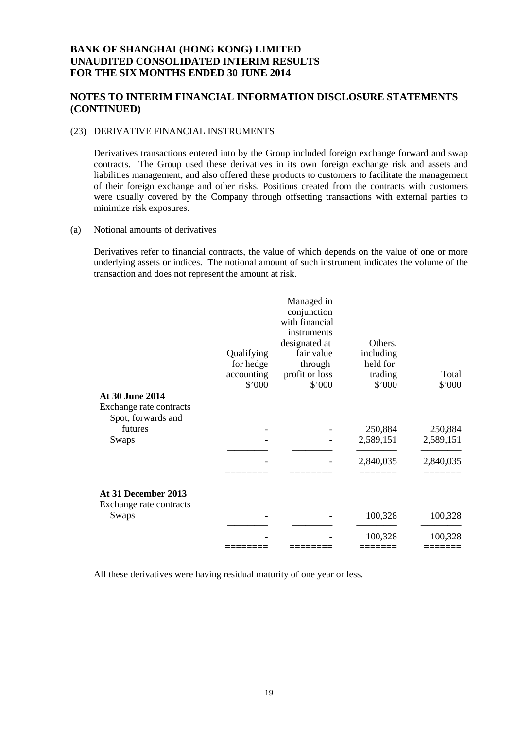### **NOTES TO INTERIM FINANCIAL INFORMATION DISCLOSURE STATEMENTS (CONTINUED)**

### (23) DERIVATIVE FINANCIAL INSTRUMENTS

Derivatives transactions entered into by the Group included foreign exchange forward and swap contracts. The Group used these derivatives in its own foreign exchange risk and assets and liabilities management, and also offered these products to customers to facilitate the management of their foreign exchange and other risks. Positions created from the contracts with customers were usually covered by the Company through offsetting transactions with external parties to minimize risk exposures.

(a) Notional amounts of derivatives

Derivatives refer to financial contracts, the value of which depends on the value of one or more underlying assets or indices. The notional amount of such instrument indicates the volume of the transaction and does not represent the amount at risk.

| <b>At 30 June 2014</b>                         | Qualifying<br>for hedge<br>accounting<br>\$'000 | Managed in<br>conjunction<br>with financial<br>instruments<br>designated at<br>fair value<br>through<br>profit or loss<br>\$'000 | Others,<br>including<br>held for<br>trading<br>\$'000 | Total<br>\$'000 |
|------------------------------------------------|-------------------------------------------------|----------------------------------------------------------------------------------------------------------------------------------|-------------------------------------------------------|-----------------|
| Exchange rate contracts                        |                                                 |                                                                                                                                  |                                                       |                 |
| Spot, forwards and                             |                                                 |                                                                                                                                  |                                                       |                 |
| futures                                        |                                                 |                                                                                                                                  | 250,884                                               | 250,884         |
| Swaps                                          |                                                 |                                                                                                                                  | 2,589,151                                             | 2,589,151       |
|                                                |                                                 |                                                                                                                                  |                                                       |                 |
|                                                |                                                 |                                                                                                                                  | 2,840,035                                             | 2,840,035       |
|                                                |                                                 |                                                                                                                                  |                                                       |                 |
| At 31 December 2013<br>Exchange rate contracts |                                                 |                                                                                                                                  |                                                       |                 |
| Swaps                                          |                                                 |                                                                                                                                  | 100,328                                               | 100,328         |
|                                                |                                                 |                                                                                                                                  |                                                       |                 |
|                                                |                                                 |                                                                                                                                  | 100,328                                               | 100,328         |
|                                                |                                                 |                                                                                                                                  |                                                       |                 |

All these derivatives were having residual maturity of one year or less.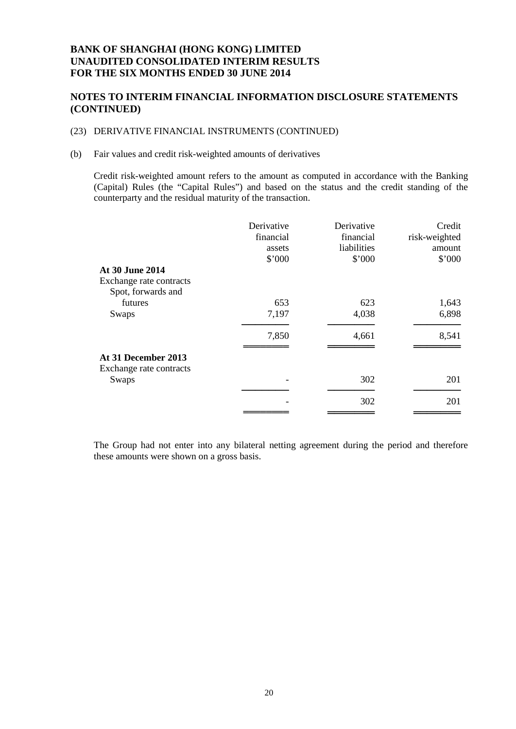### **NOTES TO INTERIM FINANCIAL INFORMATION DISCLOSURE STATEMENTS (CONTINUED)**

#### (23) DERIVATIVE FINANCIAL INSTRUMENTS (CONTINUED)

#### (b) Fair values and credit risk-weighted amounts of derivatives

Credit risk-weighted amount refers to the amount as computed in accordance with the Banking (Capital) Rules (the "Capital Rules") and based on the status and the credit standing of the counterparty and the residual maturity of the transaction.

|                         | Derivative | Derivative  | Credit        |
|-------------------------|------------|-------------|---------------|
|                         | financial  | financial   | risk-weighted |
|                         | assets     | liabilities | amount        |
|                         | \$'000     | \$'000      | \$'000        |
| At 30 June 2014         |            |             |               |
| Exchange rate contracts |            |             |               |
| Spot, forwards and      |            |             |               |
| futures                 | 653        | 623         | 1,643         |
| Swaps                   | 7,197      | 4,038       | 6,898         |
|                         | 7,850      | 4,661       | 8,541         |
| At 31 December 2013     |            |             |               |
| Exchange rate contracts |            |             |               |
| Swaps                   |            | 302         | 201           |
|                         |            |             |               |
|                         |            | 302         | 201           |
|                         |            |             |               |

The Group had not enter into any bilateral netting agreement during the period and therefore these amounts were shown on a gross basis.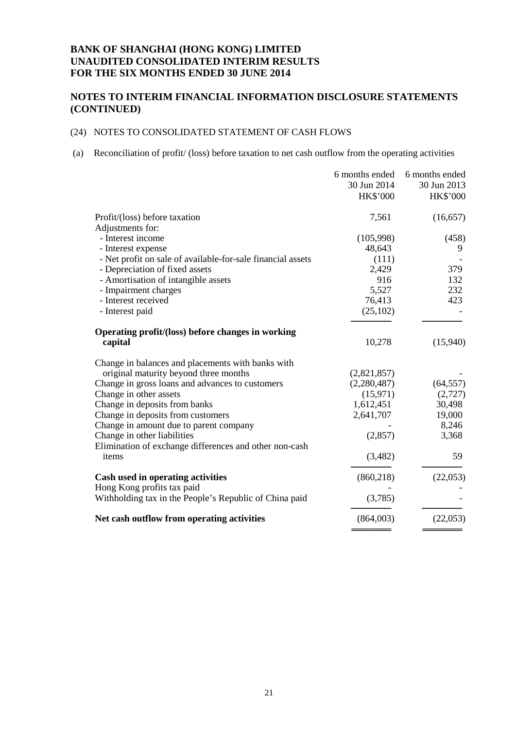# **NOTES TO INTERIM FINANCIAL INFORMATION DISCLOSURE STATEMENTS (CONTINUED)**

### (24) NOTES TO CONSOLIDATED STATEMENT OF CASH FLOWS

(a) Reconciliation of profit/ (loss) before taxation to net cash outflow from the operating activities

|                                                             | 6 months ended  | 6 months ended  |
|-------------------------------------------------------------|-----------------|-----------------|
|                                                             | 30 Jun 2014     | 30 Jun 2013     |
|                                                             | <b>HK\$'000</b> | <b>HK\$'000</b> |
| Profit/(loss) before taxation                               | 7,561           | (16, 657)       |
| Adjustments for:                                            |                 |                 |
| - Interest income                                           | (105,998)       | (458)           |
| - Interest expense                                          | 48,643          | 9               |
| - Net profit on sale of available-for-sale financial assets | (111)           |                 |
| - Depreciation of fixed assets                              | 2,429           | 379             |
| - Amortisation of intangible assets                         | 916             | 132             |
| - Impairment charges                                        | 5,527           | 232             |
| - Interest received                                         | 76,413          | 423             |
| - Interest paid                                             | (25,102)        |                 |
| Operating profit/(loss) before changes in working           |                 |                 |
| capital                                                     | 10,278          | (15,940)        |
| Change in balances and placements with banks with           |                 |                 |
| original maturity beyond three months                       | (2,821,857)     |                 |
| Change in gross loans and advances to customers             | (2,280,487)     | (64, 557)       |
| Change in other assets                                      | (15,971)        | (2,727)         |
| Change in deposits from banks                               | 1,612,451       | 30,498          |
| Change in deposits from customers                           | 2,641,707       | 19,000          |
| Change in amount due to parent company                      |                 | 8,246           |
| Change in other liabilities                                 | (2,857)         | 3,368           |
| Elimination of exchange differences and other non-cash      |                 |                 |
| items                                                       | (3,482)         | 59              |
| Cash used in operating activities                           | (860, 218)      | (22,053)        |
| Hong Kong profits tax paid                                  |                 |                 |
| Withholding tax in the People's Republic of China paid      | (3,785)         |                 |
| Net cash outflow from operating activities                  | (864,003)       | (22,053)        |
|                                                             |                 |                 |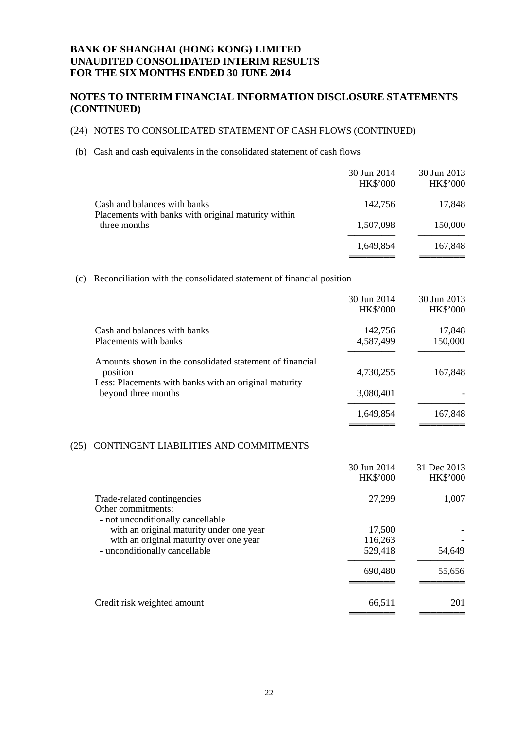### **NOTES TO INTERIM FINANCIAL INFORMATION DISCLOSURE STATEMENTS (CONTINUED)**

### (24) NOTES TO CONSOLIDATED STATEMENT OF CASH FLOWS (CONTINUED)

(b) Cash and cash equivalents in the consolidated statement of cash flows

|                                                                                     | 30 Jun 2014<br><b>HK\$'000</b> | 30 Jun 2013<br><b>HK\$'000</b> |
|-------------------------------------------------------------------------------------|--------------------------------|--------------------------------|
| Cash and balances with banks<br>Placements with banks with original maturity within | 142.756                        | 17,848                         |
| three months                                                                        | 1,507,098                      | 150,000                        |
|                                                                                     | 1,649,854                      | 167,848                        |

══════════<br>════════════

══════════<br>════════════

(c) Reconciliation with the consolidated statement of financial position

|                                                          | 30 Jun 2014     | 30 Jun 2013     |
|----------------------------------------------------------|-----------------|-----------------|
|                                                          | <b>HK\$'000</b> | <b>HK\$'000</b> |
| Cash and balances with banks                             | 142,756         | 17,848          |
| Placements with banks                                    | 4,587,499       | 150,000         |
| Amounts shown in the consolidated statement of financial |                 |                 |
| position                                                 | 4,730,255       | 167,848         |
| Less: Placements with banks with an original maturity    |                 |                 |
| beyond three months                                      | 3,080,401       |                 |
|                                                          | 1,649,854       | 167,848         |

#### (25) CONTINGENT LIABILITIES AND COMMITMENTS

|                                                                                                                                                           | 30 Jun 2014<br><b>HK\$'000</b> | 31 Dec 2013<br><b>HK\$'000</b> |
|-----------------------------------------------------------------------------------------------------------------------------------------------------------|--------------------------------|--------------------------------|
| Trade-related contingencies<br>Other commitments:                                                                                                         | 27,299                         | 1,007                          |
| - not unconditionally cancellable<br>with an original maturity under one year<br>with an original maturity over one year<br>- unconditionally cancellable | 17,500<br>116,263<br>529,418   | 54,649                         |
|                                                                                                                                                           | 690,480                        | 55,656                         |
| Credit risk weighted amount                                                                                                                               | 66,511                         | 201                            |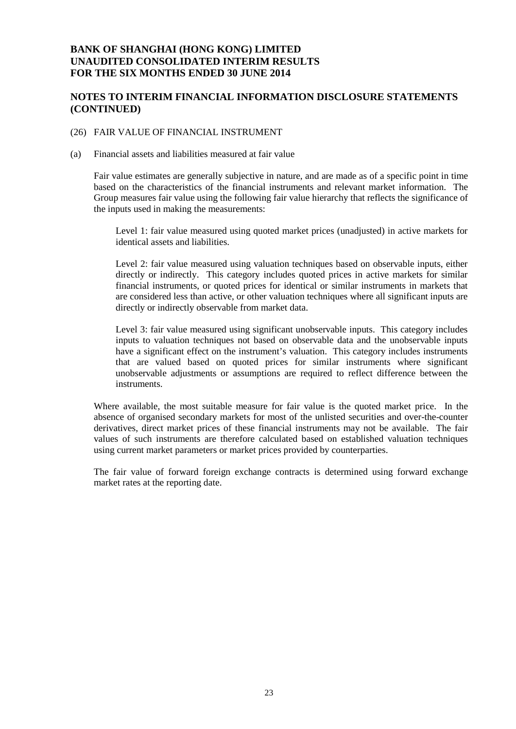### **NOTES TO INTERIM FINANCIAL INFORMATION DISCLOSURE STATEMENTS (CONTINUED)**

#### (26) FAIR VALUE OF FINANCIAL INSTRUMENT

(a) Financial assets and liabilities measured at fair value

Fair value estimates are generally subjective in nature, and are made as of a specific point in time based on the characteristics of the financial instruments and relevant market information. The Group measures fair value using the following fair value hierarchy that reflects the significance of the inputs used in making the measurements:

Level 1: fair value measured using quoted market prices (unadjusted) in active markets for identical assets and liabilities.

Level 2: fair value measured using valuation techniques based on observable inputs, either directly or indirectly. This category includes quoted prices in active markets for similar financial instruments, or quoted prices for identical or similar instruments in markets that are considered less than active, or other valuation techniques where all significant inputs are directly or indirectly observable from market data.

Level 3: fair value measured using significant unobservable inputs. This category includes inputs to valuation techniques not based on observable data and the unobservable inputs have a significant effect on the instrument's valuation. This category includes instruments that are valued based on quoted prices for similar instruments where significant unobservable adjustments or assumptions are required to reflect difference between the instruments.

Where available, the most suitable measure for fair value is the quoted market price. In the absence of organised secondary markets for most of the unlisted securities and over-the-counter derivatives, direct market prices of these financial instruments may not be available. The fair values of such instruments are therefore calculated based on established valuation techniques using current market parameters or market prices provided by counterparties.

The fair value of forward foreign exchange contracts is determined using forward exchange market rates at the reporting date.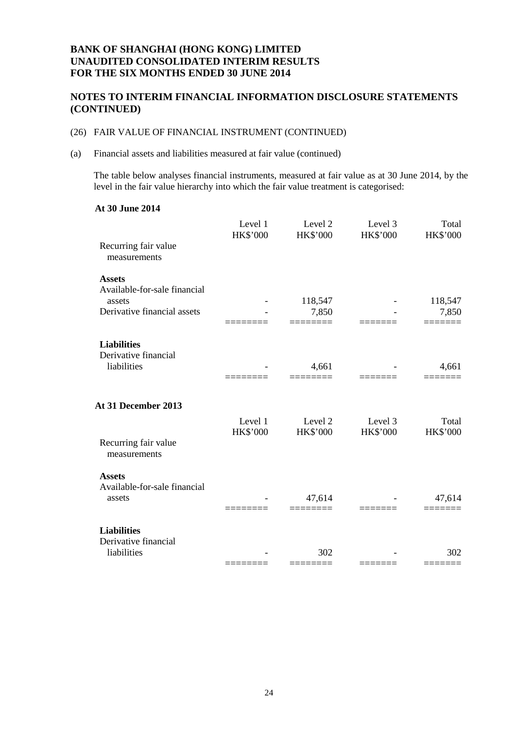# **NOTES TO INTERIM FINANCIAL INFORMATION DISCLOSURE STATEMENTS (CONTINUED)**

### (26) FAIR VALUE OF FINANCIAL INSTRUMENT (CONTINUED)

(a) Financial assets and liabilities measured at fair value (continued)

The table below analyses financial instruments, measured at fair value as at 30 June 2014, by the level in the fair value hierarchy into which the fair value treatment is categorised:

### **At 30 June 2014**

|                                               | Level 1<br><b>HK\$'000</b> | Level 2<br><b>HK\$'000</b> | Level 3<br><b>HK\$'000</b> | Total<br><b>HK\$'000</b> |
|-----------------------------------------------|----------------------------|----------------------------|----------------------------|--------------------------|
| Recurring fair value<br>measurements          |                            |                            |                            |                          |
| <b>Assets</b><br>Available-for-sale financial |                            |                            |                            |                          |
| assets                                        |                            | 118,547                    |                            | 118,547                  |
| Derivative financial assets                   |                            | 7,850                      |                            | 7,850                    |
| <b>Liabilities</b><br>Derivative financial    |                            |                            |                            |                          |
| liabilities                                   |                            | 4,661                      |                            | 4,661                    |
| At 31 December 2013                           |                            |                            |                            |                          |
|                                               | Level 1                    | Level 2                    | Level 3                    | Total                    |
| Recurring fair value<br>measurements          | <b>HK\$'000</b>            | <b>HK\$'000</b>            | <b>HK\$'000</b>            | HK\$'000                 |
| <b>Assets</b>                                 |                            |                            |                            |                          |
| Available-for-sale financial<br>assets        |                            | 47,614                     |                            | 47,614                   |
| <b>Liabilities</b>                            |                            |                            |                            |                          |
| Derivative financial                          |                            |                            |                            |                          |
| liabilities                                   |                            | 302                        |                            | 302                      |
|                                               |                            |                            |                            |                          |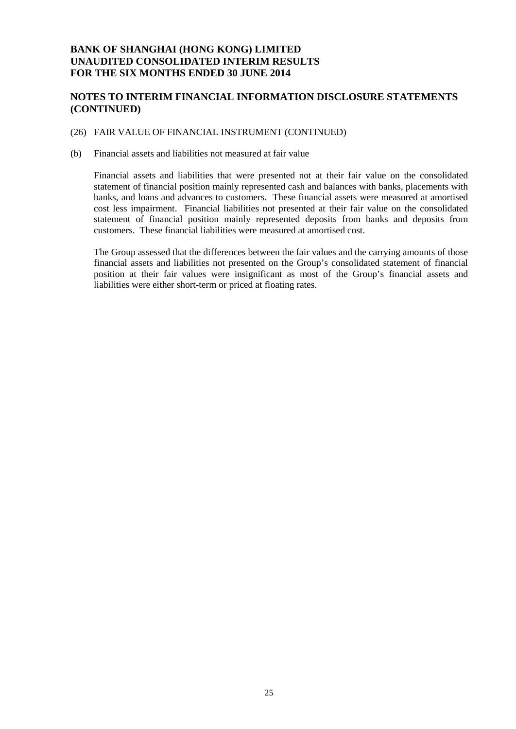### **NOTES TO INTERIM FINANCIAL INFORMATION DISCLOSURE STATEMENTS (CONTINUED)**

### (26) FAIR VALUE OF FINANCIAL INSTRUMENT (CONTINUED)

(b) Financial assets and liabilities not measured at fair value

Financial assets and liabilities that were presented not at their fair value on the consolidated statement of financial position mainly represented cash and balances with banks, placements with banks, and loans and advances to customers. These financial assets were measured at amortised cost less impairment. Financial liabilities not presented at their fair value on the consolidated statement of financial position mainly represented deposits from banks and deposits from customers. These financial liabilities were measured at amortised cost.

The Group assessed that the differences between the fair values and the carrying amounts of those financial assets and liabilities not presented on the Group's consolidated statement of financial position at their fair values were insignificant as most of the Group's financial assets and liabilities were either short-term or priced at floating rates.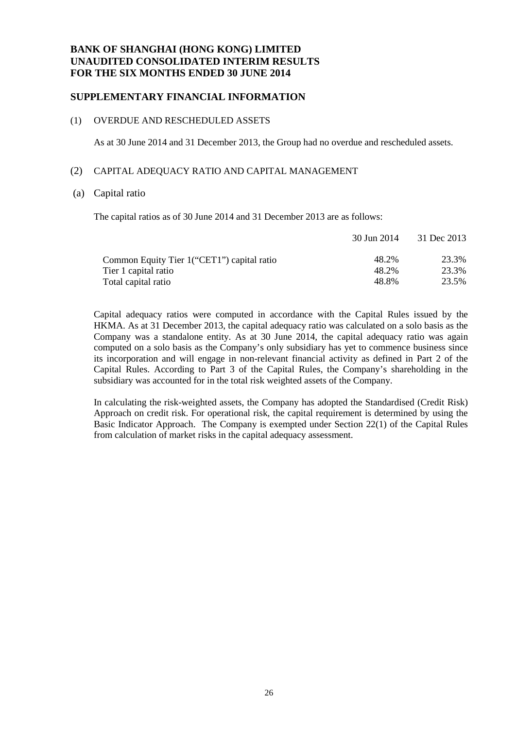### **SUPPLEMENTARY FINANCIAL INFORMATION**

#### (1) OVERDUE AND RESCHEDULED ASSETS

As at 30 June 2014 and 31 December 2013, the Group had no overdue and rescheduled assets.

#### (2) CAPITAL ADEQUACY RATIO AND CAPITAL MANAGEMENT

#### (a) Capital ratio

The capital ratios as of 30 June 2014 and 31 December 2013 are as follows:

|                                             | 30 Jun 2014 | 31 Dec 2013 |
|---------------------------------------------|-------------|-------------|
| Common Equity Tier 1 ("CET1") capital ratio | 48.2%       | 23.3%       |
| Tier 1 capital ratio                        | 48.2%       | 23.3%       |
| Total capital ratio                         | 48.8%       | 23.5%       |

Capital adequacy ratios were computed in accordance with the Capital Rules issued by the HKMA. As at 31 December 2013, the capital adequacy ratio was calculated on a solo basis as the Company was a standalone entity. As at 30 June 2014, the capital adequacy ratio was again computed on a solo basis as the Company's only subsidiary has yet to commence business since its incorporation and will engage in non-relevant financial activity as defined in Part 2 of the Capital Rules. According to Part 3 of the Capital Rules, the Company's shareholding in the subsidiary was accounted for in the total risk weighted assets of the Company.

In calculating the risk-weighted assets, the Company has adopted the Standardised (Credit Risk) Approach on credit risk. For operational risk, the capital requirement is determined by using the Basic Indicator Approach. The Company is exempted under Section 22(1) of the Capital Rules from calculation of market risks in the capital adequacy assessment.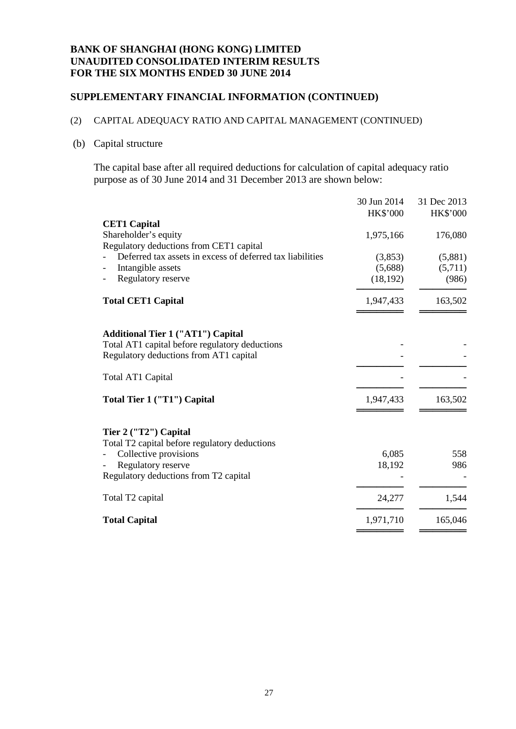### **SUPPLEMENTARY FINANCIAL INFORMATION (CONTINUED)**

# (2) CAPITAL ADEQUACY RATIO AND CAPITAL MANAGEMENT (CONTINUED)

### (b) Capital structure

The capital base after all required deductions for calculation of capital adequacy ratio purpose as of 30 June 2014 and 31 December 2013 are shown below:

|                                                           | 30 Jun 2014     | 31 Dec 2013     |
|-----------------------------------------------------------|-----------------|-----------------|
|                                                           | <b>HK\$'000</b> | <b>HK\$'000</b> |
| <b>CET1 Capital</b>                                       |                 |                 |
| Shareholder's equity                                      | 1,975,166       | 176,080         |
| Regulatory deductions from CET1 capital                   |                 |                 |
| Deferred tax assets in excess of deferred tax liabilities | (3,853)         | (5,881)         |
| Intangible assets                                         | (5,688)         | (5,711)         |
| Regulatory reserve                                        | (18, 192)       | (986)           |
|                                                           |                 |                 |
| <b>Total CET1 Capital</b>                                 | 1,947,433       | 163,502         |
|                                                           |                 |                 |
| <b>Additional Tier 1 ("AT1") Capital</b>                  |                 |                 |
| Total AT1 capital before regulatory deductions            |                 |                 |
| Regulatory deductions from AT1 capital                    |                 |                 |
|                                                           |                 |                 |
| Total AT1 Capital                                         |                 |                 |
| Total Tier 1 ("T1") Capital                               | 1,947,433       | 163,502         |
|                                                           |                 |                 |
| Tier 2 ("T2") Capital                                     |                 |                 |
| Total T2 capital before regulatory deductions             |                 |                 |
| Collective provisions                                     | 6,085           | 558             |
| Regulatory reserve                                        | 18,192          | 986             |
| Regulatory deductions from T2 capital                     |                 |                 |
|                                                           |                 |                 |
| Total T <sub>2</sub> capital                              | 24,277          | 1,544           |
| <b>Total Capital</b>                                      | 1,971,710       | 165,046         |
|                                                           |                 |                 |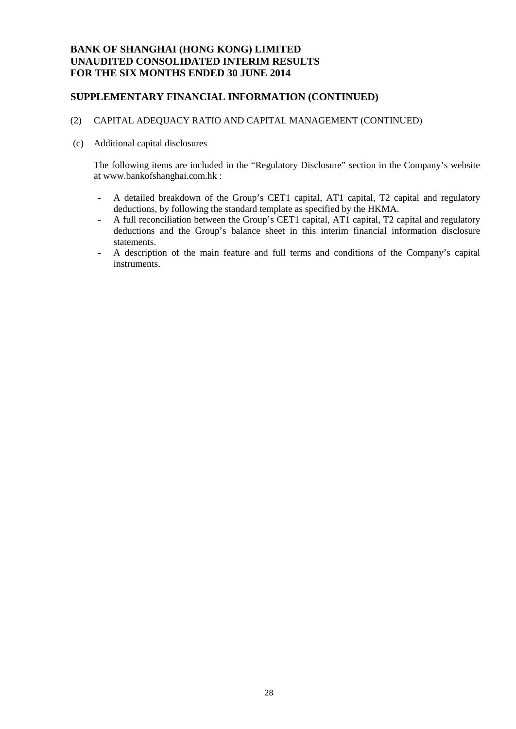### **SUPPLEMENTARY FINANCIAL INFORMATION (CONTINUED)**

### (2) CAPITAL ADEQUACY RATIO AND CAPITAL MANAGEMENT (CONTINUED)

(c) Additional capital disclosures

The following items are included in the "Regulatory Disclosure" section in the Company's website at [www.bankofshanghai.com.hk](http://www.bankofshanghai.com.hk/) :

- A detailed breakdown of the Group's CET1 capital, AT1 capital, T2 capital and regulatory deductions, by following the standard template as specified by the HKMA.
- A full reconciliation between the Group's CET1 capital, AT1 capital, T2 capital and regulatory deductions and the Group's balance sheet in this interim financial information disclosure statements.
- A description of the main feature and full terms and conditions of the Company's capital instruments.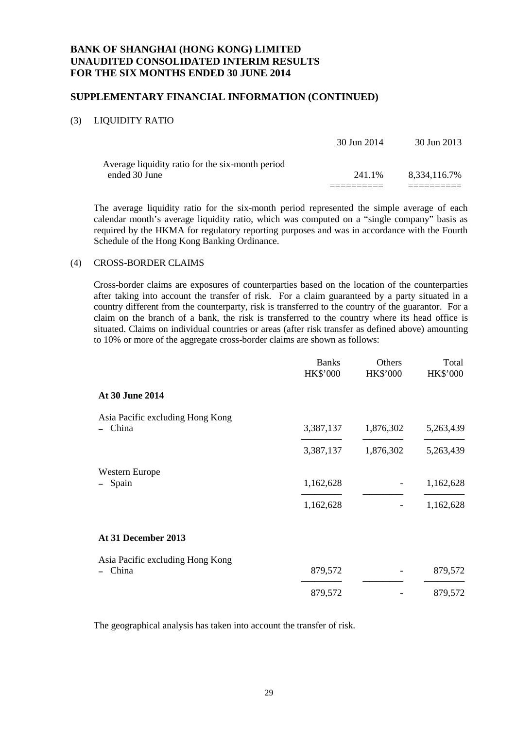### **SUPPLEMENTARY FINANCIAL INFORMATION (CONTINUED)**

### (3) LIQUIDITY RATIO

|                                                                   | 30 Jun 2014 | 30 Jun 2013  |
|-------------------------------------------------------------------|-------------|--------------|
| Average liquidity ratio for the six-month period<br>ended 30 June | 241.1%      | 8.334.116.7% |
|                                                                   |             |              |

The average liquidity ratio for the six-month period represented the simple average of each calendar month's average liquidity ratio, which was computed on a "single company" basis as required by the HKMA for regulatory reporting purposes and was in accordance with the Fourth Schedule of the Hong Kong Banking Ordinance.

### (4) CROSS-BORDER CLAIMS

Cross-border claims are exposures of counterparties based on the location of the counterparties after taking into account the transfer of risk. For a claim guaranteed by a party situated in a country different from the counterparty, risk is transferred to the country of the guarantor. For a claim on the branch of a bank, the risk is transferred to the country where its head office is situated. Claims on individual countries or areas (after risk transfer as defined above) amounting to 10% or more of the aggregate cross-border claims are shown as follows:

|                                  | <b>Banks</b><br>HK\$'000 | Others<br><b>HK\$'000</b> | Total<br><b>HK\$'000</b> |
|----------------------------------|--------------------------|---------------------------|--------------------------|
| At 30 June 2014                  |                          |                           |                          |
| Asia Pacific excluding Hong Kong |                          |                           |                          |
| China                            | 3,387,137                | 1,876,302                 | 5,263,439                |
|                                  | 3,387,137                | 1,876,302                 | 5,263,439                |
| <b>Western Europe</b>            |                          |                           |                          |
| Spain                            | 1,162,628                |                           | 1,162,628                |
|                                  | 1,162,628                |                           | 1,162,628                |
| At 31 December 2013              |                          |                           |                          |
| Asia Pacific excluding Hong Kong |                          |                           |                          |
| China                            | 879,572                  |                           | 879,572                  |
|                                  | 879,572                  |                           | 879,572                  |

The geographical analysis has taken into account the transfer of risk.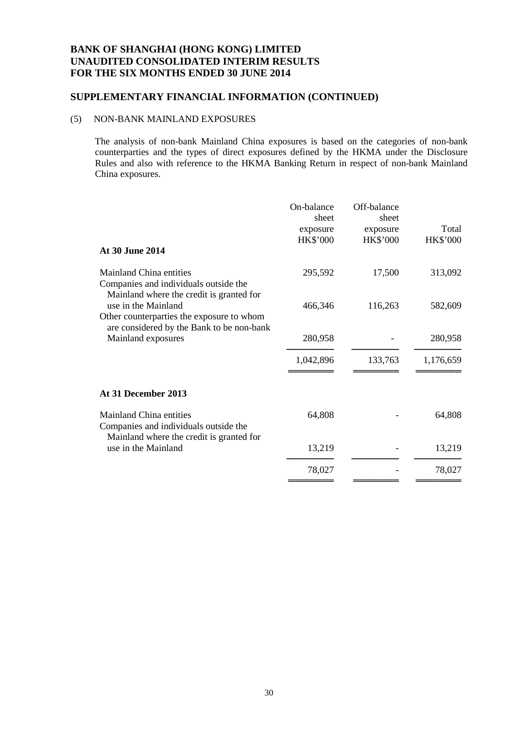# **SUPPLEMENTARY FINANCIAL INFORMATION (CONTINUED)**

### (5) NON-BANK MAINLAND EXPOSURES

The analysis of non-bank Mainland China exposures is based on the categories of non-bank counterparties and the types of direct exposures defined by the HKMA under the Disclosure Rules and also with reference to the HKMA Banking Return in respect of non-bank Mainland China exposures.

| At 30 June 2014                                                                                                                            | On-balance<br>sheet<br>exposure<br>HK\$'000 | Off-balance<br>sheet<br>exposure<br><b>HK\$'000</b> | Total<br>HK\$'000 |
|--------------------------------------------------------------------------------------------------------------------------------------------|---------------------------------------------|-----------------------------------------------------|-------------------|
| <b>Mainland China entities</b><br>Companies and individuals outside the<br>Mainland where the credit is granted for                        | 295,592                                     | 17,500                                              | 313,092           |
| use in the Mainland<br>Other counterparties the exposure to whom<br>are considered by the Bank to be non-bank                              | 466,346                                     | 116,263                                             | 582,609           |
| Mainland exposures                                                                                                                         | 280,958                                     |                                                     | 280,958           |
|                                                                                                                                            | 1,042,896                                   | 133,763                                             | 1,176,659         |
| At 31 December 2013                                                                                                                        |                                             |                                                     |                   |
| <b>Mainland China entities</b><br>Companies and individuals outside the<br>Mainland where the credit is granted for<br>use in the Mainland | 64,808                                      |                                                     | 64,808            |
|                                                                                                                                            | 13,219                                      |                                                     | 13,219            |
|                                                                                                                                            | 78,027                                      |                                                     | 78,027            |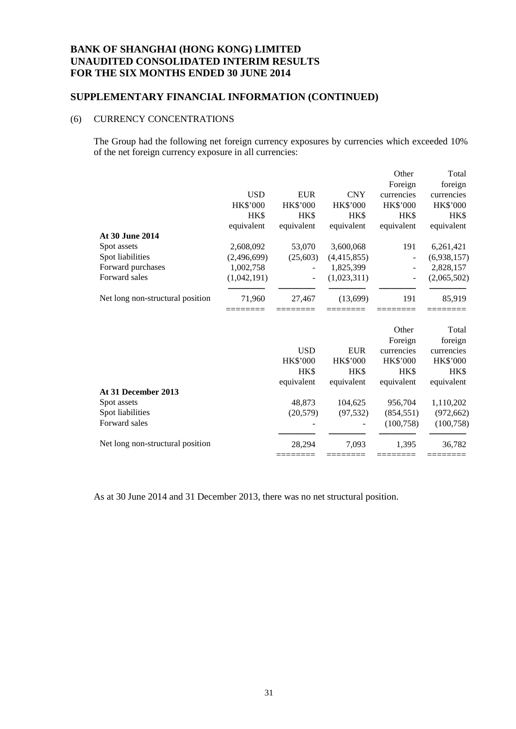### **SUPPLEMENTARY FINANCIAL INFORMATION (CONTINUED)**

### (6) CURRENCY CONCENTRATIONS

The Group had the following net foreign currency exposures by currencies which exceeded 10% of the net foreign currency exposure in all currencies:

|                                  |                 |                   |                   | Other            | Total              |
|----------------------------------|-----------------|-------------------|-------------------|------------------|--------------------|
|                                  |                 |                   |                   | Foreign          | foreign            |
|                                  | <b>USD</b>      | <b>EUR</b>        | <b>CNY</b>        | currencies       | currencies         |
|                                  | <b>HK\$'000</b> | <b>HK\$'000</b>   | <b>HK\$'000</b>   | <b>HK\$'000</b>  | HK\$'000           |
|                                  | HK\$            | HK\$              | HK\$              | HK\$             | HK\$               |
|                                  | equivalent      | equivalent        | equivalent        | equivalent       | equivalent         |
| At 30 June 2014                  |                 |                   |                   |                  |                    |
| Spot assets                      | 2,608,092       | 53,070            | 3,600,068         | 191              | 6,261,421          |
| Spot liabilities                 | (2,496,699)     | (25,603)          | (4,415,855)       |                  | (6,938,157)        |
| Forward purchases                | 1,002,758       |                   | 1,825,399         |                  | 2,828,157          |
| Forward sales                    | (1,042,191)     |                   | (1,023,311)       |                  | (2,065,502)        |
| Net long non-structural position | 71,960          | 27,467            | (13,699)          | 191              | 85,919             |
|                                  |                 |                   |                   | Other            | Total              |
|                                  |                 |                   |                   | Foreign          | foreign            |
|                                  |                 | <b>USD</b>        | <b>EUR</b>        | currencies       | currencies         |
|                                  |                 | HK\$'000          | <b>HK\$'000</b>   | <b>HK\$'000</b>  | HK\$'000           |
|                                  |                 | HK\$              | HK\$              | HK\$             | HK\$               |
|                                  |                 | equivalent        | equivalent        | equivalent       | equivalent         |
| At 31 December 2013              |                 |                   |                   |                  |                    |
| Spot assets                      |                 | 48,873            | 104,625           | 956,704          | 1,110,202          |
| Spot liabilities                 |                 | (20, 579)         | (97, 532)         | (854, 551)       | (972, 662)         |
| Forward sales                    |                 |                   |                   | (100, 758)       | (100, 758)         |
| Net long non-structural position |                 | 28.294<br>======= | 7.093<br>======== | 1.395<br>======= | 36,782<br>======== |
|                                  |                 |                   |                   |                  |                    |

As at 30 June 2014 and 31 December 2013, there was no net structural position.